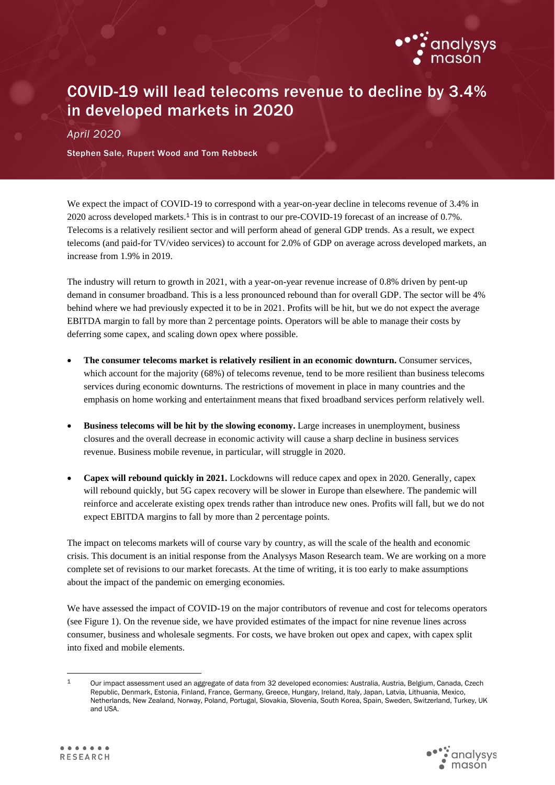

# COVID-19 will lead telecoms revenue to decline by 3.4% in developed markets in 2020

*April 2020*

Stephen Sale, Rupert Wood and Tom Rebbeck

We expect the impact of COVID-19 to correspond with a year-on-year decline in telecoms revenue of 3.4% in 2020 across developed markets. <sup>1</sup> This is in contrast to our pre-COVID-19 forecast of an increase of 0.7%. Telecoms is a relatively resilient sector and will perform ahead of general GDP trends. As a result, we expect telecoms (and paid-for TV/video services) to account for 2.0% of GDP on average across developed markets, an increase from 1.9% in 2019.

The industry will return to growth in 2021, with a year-on-year revenue increase of 0.8% driven by pent-up demand in consumer broadband. This is a less pronounced rebound than for overall GDP. The sector will be 4% behind where we had previously expected it to be in 2021. Profits will be hit, but we do not expect the average EBITDA margin to fall by more than 2 percentage points. Operators will be able to manage their costs by deferring some capex, and scaling down opex where possible.

- **The consumer telecoms market is relatively resilient in an economic downturn.** Consumer services, which account for the majority (68%) of telecoms revenue, tend to be more resilient than business telecoms services during economic downturns. The restrictions of movement in place in many countries and the emphasis on home working and entertainment means that fixed broadband services perform relatively well.
- **Business telecoms will be hit by the slowing economy.** Large increases in unemployment, business closures and the overall decrease in economic activity will cause a sharp decline in business services revenue. Business mobile revenue, in particular, will struggle in 2020.
- **Capex will rebound quickly in 2021.** Lockdowns will reduce capex and opex in 2020. Generally, capex will rebound quickly, but 5G capex recovery will be slower in Europe than elsewhere. The pandemic will reinforce and accelerate existing opex trends rather than introduce new ones. Profits will fall, but we do not expect EBITDA margins to fall by more than 2 percentage points.

The impact on telecoms markets will of course vary by country, as will the scale of the health and economic crisis. This document is an initial response from the Analysys Mason Research team. We are working on a more complete set of revisions to our market forecasts. At the time of writing, it is too early to make assumptions about the impact of the pandemic on emerging economies.

We have assessed the impact of COVID-19 on the major contributors of revenue and cost for telecoms operators (see Figure 1). On the revenue side, we have provided estimates of the impact for nine revenue lines across consumer, business and wholesale segments. For costs, we have broken out opex and capex, with capex split into fixed and mobile elements.

<sup>1</sup> Our impact assessment used an aggregate of data from 32 developed economies: Australia, Austria, Belgium, Canada, Czech Republic, Denmark, Estonia, Finland, France, Germany, Greece, Hungary, Ireland, Italy, Japan, Latvia, Lithuania, Mexico, Netherlands, New Zealand, Norway, Poland, Portugal, Slovakia, Slovenia, South Korea, Spain, Sweden, Switzerland, Turkey, UK and USA.

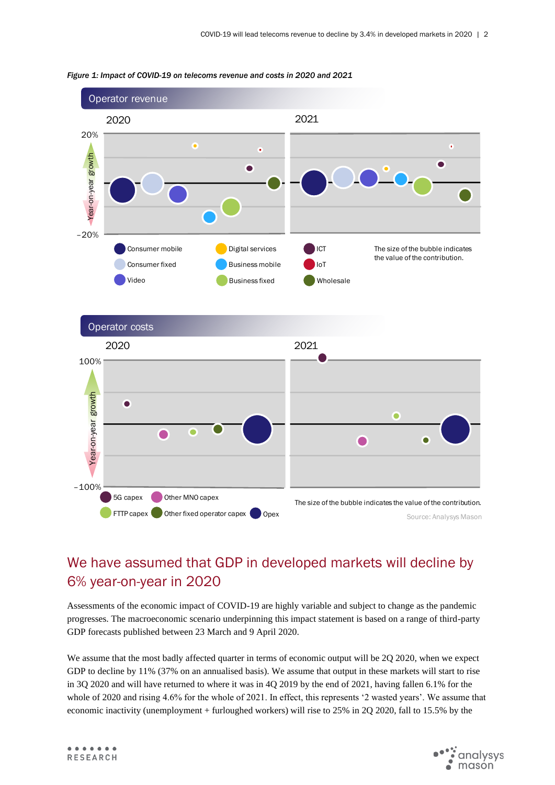

#### *Figure 1: Impact of COVID-19 on telecoms revenue and costs in 2020 and 2021*

# We have assumed that GDP in developed markets will decline by 6% year-on-year in 2020

Assessments of the economic impact of COVID-19 are highly variable and subject to change as the pandemic progresses. The macroeconomic scenario underpinning this impact statement is based on a range of third-party GDP forecasts published between 23 March and 9 April 2020.

We assume that the most badly affected quarter in terms of economic output will be 2Q 2020, when we expect GDP to decline by 11% (37% on an annualised basis). We assume that output in these markets will start to rise in 3Q 2020 and will have returned to where it was in 4Q 2019 by the end of 2021, having fallen 6.1% for the whole of 2020 and rising 4.6% for the whole of 2021. In effect, this represents '2 wasted years'. We assume that economic inactivity (unemployment + furloughed workers) will rise to 25% in 2Q 2020, fall to 15.5% by the

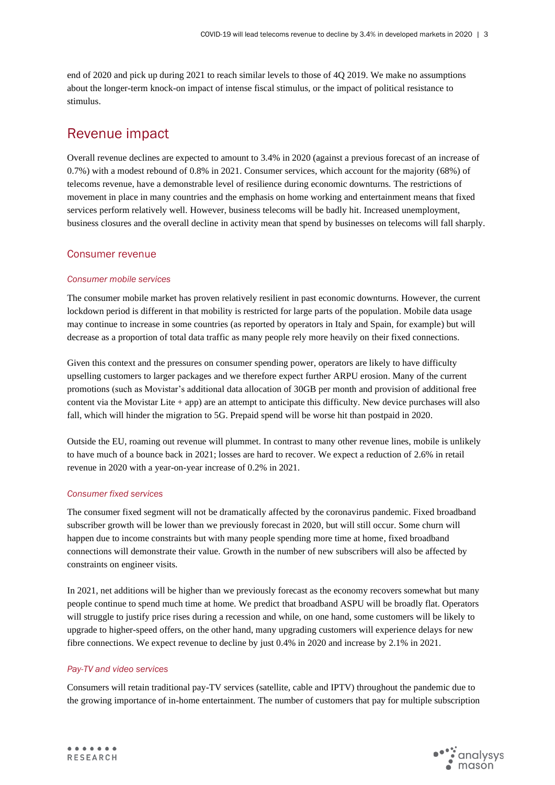end of 2020 and pick up during 2021 to reach similar levels to those of 4Q 2019. We make no assumptions about the longer-term knock-on impact of intense fiscal stimulus, or the impact of political resistance to stimulus.

## Revenue impact

Overall revenue declines are expected to amount to 3.4% in 2020 (against a previous forecast of an increase of 0.7%) with a modest rebound of 0.8% in 2021. Consumer services, which account for the majority (68%) of telecoms revenue, have a demonstrable level of resilience during economic downturns. The restrictions of movement in place in many countries and the emphasis on home working and entertainment means that fixed services perform relatively well. However, business telecoms will be badly hit. Increased unemployment, business closures and the overall decline in activity mean that spend by businesses on telecoms will fall sharply.

## Consumer revenue

## *Consumer mobile services*

The consumer mobile market has proven relatively resilient in past economic downturns. However, the current lockdown period is different in that mobility is restricted for large parts of the population. Mobile data usage may continue to increase in some countries (as reported by operators in Italy and Spain, for example) but will decrease as a proportion of total data traffic as many people rely more heavily on their fixed connections.

Given this context and the pressures on consumer spending power, operators are likely to have difficulty upselling customers to larger packages and we therefore expect further ARPU erosion. Many of the current promotions (such as Movistar's additional data allocation of 30GB per month and provision of additional free content via the Movistar Lite + app) are an attempt to anticipate this difficulty. New device purchases will also fall, which will hinder the migration to 5G. Prepaid spend will be worse hit than postpaid in 2020.

Outside the EU, roaming out revenue will plummet. In contrast to many other revenue lines, mobile is unlikely to have much of a bounce back in 2021; losses are hard to recover. We expect a reduction of 2.6% in retail revenue in 2020 with a year-on-year increase of 0.2% in 2021.

## *Consumer fixed services*

The consumer fixed segment will not be dramatically affected by the coronavirus pandemic. Fixed broadband subscriber growth will be lower than we previously forecast in 2020, but will still occur. Some churn will happen due to income constraints but with many people spending more time at home, fixed broadband connections will demonstrate their value. Growth in the number of new subscribers will also be affected by constraints on engineer visits.

In 2021, net additions will be higher than we previously forecast as the economy recovers somewhat but many people continue to spend much time at home. We predict that broadband ASPU will be broadly flat. Operators will struggle to justify price rises during a recession and while, on one hand, some customers will be likely to upgrade to higher-speed offers, on the other hand, many upgrading customers will experience delays for new fibre connections. We expect revenue to decline by just 0.4% in 2020 and increase by 2.1% in 2021.

## *Pay-TV and video services*

Consumers will retain traditional pay-TV services (satellite, cable and IPTV) throughout the pandemic due to the growing importance of in-home entertainment. The number of customers that pay for multiple subscription

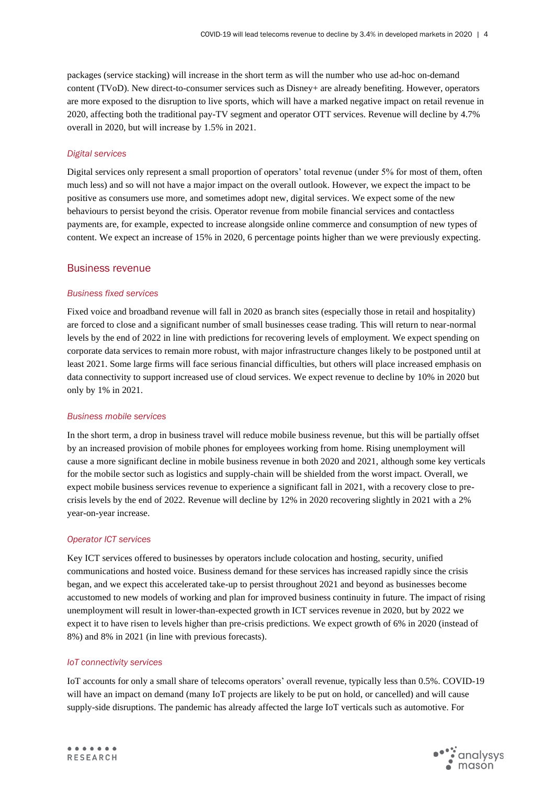packages (service stacking) will increase in the short term as will the number who use ad-hoc on-demand content (TVoD). New direct-to-consumer services such as Disney+ are already benefiting. However, operators are more exposed to the disruption to live sports, which will have a marked negative impact on retail revenue in 2020, affecting both the traditional pay-TV segment and operator OTT services. Revenue will decline by 4.7% overall in 2020, but will increase by 1.5% in 2021.

#### *Digital services*

Digital services only represent a small proportion of operators' total revenue (under 5% for most of them, often much less) and so will not have a major impact on the overall outlook. However, we expect the impact to be positive as consumers use more, and sometimes adopt new, digital services. We expect some of the new behaviours to persist beyond the crisis. Operator revenue from mobile financial services and contactless payments are, for example, expected to increase alongside online commerce and consumption of new types of content. We expect an increase of 15% in 2020, 6 percentage points higher than we were previously expecting.

### Business revenue

### *Business fixed services*

Fixed voice and broadband revenue will fall in 2020 as branch sites (especially those in retail and hospitality) are forced to close and a significant number of small businesses cease trading. This will return to near-normal levels by the end of 2022 in line with predictions for recovering levels of employment. We expect spending on corporate data services to remain more robust, with major infrastructure changes likely to be postponed until at least 2021. Some large firms will face serious financial difficulties, but others will place increased emphasis on data connectivity to support increased use of cloud services. We expect revenue to decline by 10% in 2020 but only by 1% in 2021.

#### *Business mobile services*

In the short term, a drop in business travel will reduce mobile business revenue, but this will be partially offset by an increased provision of mobile phones for employees working from home. Rising unemployment will cause a more significant decline in mobile business revenue in both 2020 and 2021, although some key verticals for the mobile sector such as logistics and supply-chain will be shielded from the worst impact. Overall, we expect mobile business services revenue to experience a significant fall in 2021, with a recovery close to precrisis levels by the end of 2022. Revenue will decline by 12% in 2020 recovering slightly in 2021 with a 2% year-on-year increase.

#### *Operator ICT services*

Key ICT services offered to businesses by operators include colocation and hosting, security, unified communications and hosted voice. Business demand for these services has increased rapidly since the crisis began, and we expect this accelerated take-up to persist throughout 2021 and beyond as businesses become accustomed to new models of working and plan for improved business continuity in future. The impact of rising unemployment will result in lower-than-expected growth in ICT services revenue in 2020, but by 2022 we expect it to have risen to levels higher than pre-crisis predictions. We expect growth of 6% in 2020 (instead of 8%) and 8% in 2021 (in line with previous forecasts).

#### *IoT connectivity services*

IoT accounts for only a small share of telecoms operators' overall revenue, typically less than 0.5%. COVID-19 will have an impact on demand (many IoT projects are likely to be put on hold, or cancelled) and will cause supply-side disruptions. The pandemic has already affected the large IoT verticals such as automotive. For

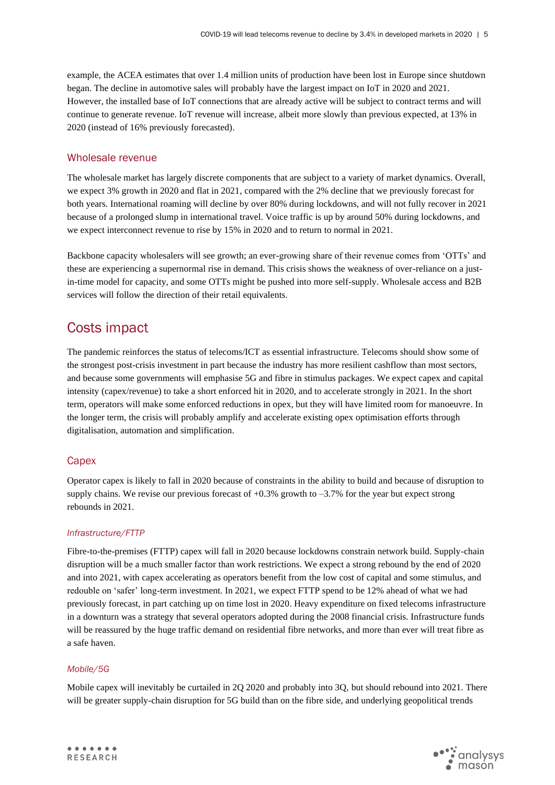example, the ACEA estimates that over 1.4 million units of production have been lost in Europe since shutdown began. The decline in automotive sales will probably have the largest impact on IoT in 2020 and 2021. However, the installed base of IoT connections that are already active will be subject to contract terms and will continue to generate revenue. IoT revenue will increase, albeit more slowly than previous expected, at 13% in 2020 (instead of 16% previously forecasted).

## Wholesale revenue

The wholesale market has largely discrete components that are subject to a variety of market dynamics. Overall, we expect 3% growth in 2020 and flat in 2021, compared with the 2% decline that we previously forecast for both years. International roaming will decline by over 80% during lockdowns, and will not fully recover in 2021 because of a prolonged slump in international travel. Voice traffic is up by around 50% during lockdowns, and we expect interconnect revenue to rise by 15% in 2020 and to return to normal in 2021.

Backbone capacity wholesalers will see growth; an ever-growing share of their revenue comes from 'OTTs' and these are experiencing a supernormal rise in demand. This crisis shows the weakness of over-reliance on a justin-time model for capacity, and some OTTs might be pushed into more self-supply. Wholesale access and B2B services will follow the direction of their retail equivalents.

## Costs impact

The pandemic reinforces the status of telecoms/ICT as essential infrastructure. Telecoms should show some of the strongest post-crisis investment in part because the industry has more resilient cashflow than most sectors, and because some governments will emphasise 5G and fibre in stimulus packages. We expect capex and capital intensity (capex/revenue) to take a short enforced hit in 2020, and to accelerate strongly in 2021. In the short term, operators will make some enforced reductions in opex, but they will have limited room for manoeuvre. In the longer term, the crisis will probably amplify and accelerate existing opex optimisation efforts through digitalisation, automation and simplification.

## **Capex**

Operator capex is likely to fall in 2020 because of constraints in the ability to build and because of disruption to supply chains. We revise our previous forecast of  $+0.3\%$  growth to  $-3.7\%$  for the year but expect strong rebounds in 2021.

## *Infrastructure/FTTP*

Fibre-to-the-premises (FTTP) capex will fall in 2020 because lockdowns constrain network build. Supply-chain disruption will be a much smaller factor than work restrictions. We expect a strong rebound by the end of 2020 and into 2021, with capex accelerating as operators benefit from the low cost of capital and some stimulus, and redouble on 'safer' long-term investment. In 2021, we expect FTTP spend to be 12% ahead of what we had previously forecast, in part catching up on time lost in 2020. Heavy expenditure on fixed telecoms infrastructure in a downturn was a strategy that several operators adopted during the 2008 financial crisis. Infrastructure funds will be reassured by the huge traffic demand on residential fibre networks, and more than ever will treat fibre as a safe haven.

## *Mobile/5G*

Mobile capex will inevitably be curtailed in 2Q 2020 and probably into 3Q, but should rebound into 2021. There will be greater supply-chain disruption for 5G build than on the fibre side, and underlying geopolitical trends

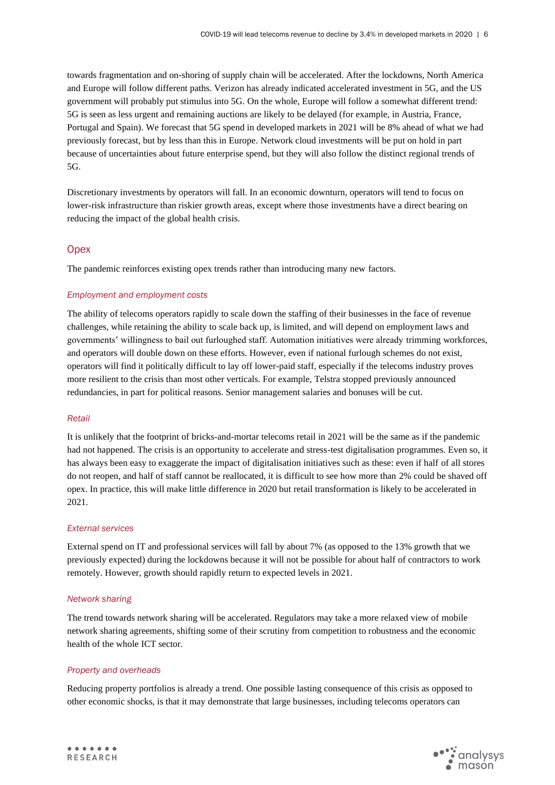towards fragmentation and on-shoring of supply chain will be accelerated. After the lockdowns, North America and Europe will follow different paths. Verizon has already indicated accelerated investment in 5G, and the US government will probably put stimulus into 5G. On the whole, Europe will follow a somewhat different trend: 5G is seen as less urgent and remaining auctions are likely to be delayed (for example, in Austria, France, Portugal and Spain). We forecast that 5G spend in developed markets in 2021 will be 8% ahead of what we had previously forecast, but by less than this in Europe. Network cloud investments will be put on hold in part because of uncertainties about future enterprise spend, but they will also follow the distinct regional trends of 5G.

Discretionary investments by operators will fall. In an economic downturn, operators will tend to focus on lower-risk infrastructure than riskier growth areas, except where those investments have a direct bearing on reducing the impact of the global health crisis.

## **Opex**

The pandemic reinforces existing opex trends rather than introducing many new factors.

## *Employment and employment costs*

The ability of telecoms operators rapidly to scale down the staffing of their businesses in the face of revenue challenges, while retaining the ability to scale back up, is limited, and will depend on employment laws and governments' willingness to bail out furloughed staff. Automation initiatives were already trimming workforces, and operators will double down on these efforts. However, even if national furlough schemes do not exist, operators will find it politically difficult to lay off lower-paid staff, especially if the telecoms industry proves more resilient to the crisis than most other verticals. For example, Telstra stopped previously announced redundancies, in part for political reasons. Senior management salaries and bonuses will be cut.

## *Retail*

It is unlikely that the footprint of bricks-and-mortar telecoms retail in 2021 will be the same as if the pandemic had not happened. The crisis is an opportunity to accelerate and stress-test digitalisation programmes. Even so, it has always been easy to exaggerate the impact of digitalisation initiatives such as these: even if half of all stores do not reopen, and half of staff cannot be reallocated, it is difficult to see how more than 2% could be shaved off opex. In practice, this will make little difference in 2020 but retail transformation is likely to be accelerated in 2021.

## *External services*

External spend on IT and professional services will fall by about 7% (as opposed to the 13% growth that we previously expected) during the lockdowns because it will not be possible for about half of contractors to work remotely. However, growth should rapidly return to expected levels in 2021.

## *Network sharing*

The trend towards network sharing will be accelerated. Regulators may take a more relaxed view of mobile network sharing agreements, shifting some of their scrutiny from competition to robustness and the economic health of the whole ICT sector.

## *Property and overheads*

Reducing property portfolios is already a trend. One possible lasting consequence of this crisis as opposed to other economic shocks, is that it may demonstrate that large businesses, including telecoms operators can